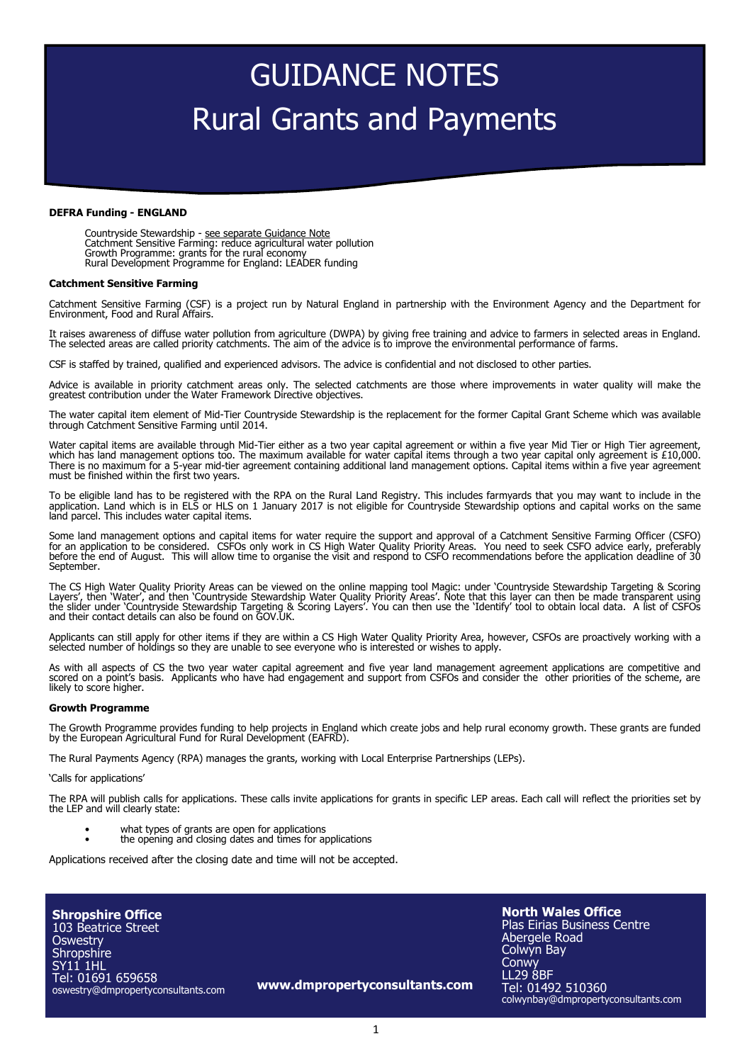# GUIDANCE NOTES Rural Grants and Payments

### **DEFRA Funding - ENGLAND**

Countryside Stewardship - see separate Guidance Note Catchment Sensitive Farming: reduce agricultural water pollution Growth Programme: grants for the rural economy Rural Development Programme for England: LEADER funding

### **Catchment Sensitive Farming**

Catchment Sensitive Farming (CSF) is a project run by Natural England in partnership with the Environment Agency and the Department for Environment, Food and Rural Affairs.

It raises awareness of diffuse water pollution from agriculture (DWPA) by giving free training and advice to farmers in selected areas in England.<br>The selected areas are called priority catchments. The aim of the advice is

CSF is staffed by trained, qualified and experienced advisors. The advice is confidential and not disclosed to other parties.

Advice is available in priority catchment areas only. The selected catchments are those where improvements in water quality will make the greatest contribution under the Water Framework Directive objectives.

The water capital item element of Mid-Tier Countryside Stewardship is the replacement for the former Capital Grant Scheme which was available through Catchment Sensitive Farming until 2014.

Water capital items are available through Mid-Tier either as a two year capital agreement or within a five year Mid Tier or High Tier agreement, which has land management options too. The maximum available for water capital items through a two year capital only agreement is £10,000. There is no maximum for a 5-year mid-tier agreement containing additional land management options. Capital items within a five year agreement must be finished within the first two years.

To be eligible land has to be registered with the RPA on the Rural Land Registry. This includes farmyards that you may want to include in the application. Land which is in ELS or HLS on 1 January 2017 is not eligible for Countryside Stewardship options and capital works on the same land parcel. This includes water capital items.

Some land management options and capital items for water require the support and approval of a Catchment Sensitive Farming Officer (CSFO) for an application to be considered. CSFOs only work in CS High Water Quality Priority Areas. You need to seek CSFO advice early, preferably<br>before the end of August. This will allow time to organise the visit and respo September.

The CS High Water Quality Priority Areas can be viewed on the online mapping tool Magic: under 'Countryside Stewardship Targeting & Scoring Layers', then 'Water', and then 'Countryside Stewardship Water Quality Priority Areas'. Note that this layer can then be made transparent using the slider under 'Countryside Stewardship Targeting & Scoring Layers'. You can then use the 'Identify' tool to obtain local data. A list of CSFOs and their contact details can also be found on GOV.UK.

Applicants can still apply for other items if they are within a CS High Water Quality Priority Area, however, CSFOs are proactively working with a selected number of holdings so they are unable to see everyone who is interested or wishes to apply.

As with all aspects of CS the two year water capital agreement and five year land management agreement applications are competitive and scored on a point's basis. Applicants who have had engagement and support from CSFOs and consider the other priorities of the scheme, are likely to score higher.

#### **Growth Programme**

The Growth Programme provides funding to help projects in England which create jobs and help rural economy growth. These grants are funded by the European Agricultural Fund for Rural Development (EAFRD).

The Rural Payments Agency (RPA) manages the grants, working with Local Enterprise Partnerships (LEPs).

'Calls for applications'

The RPA will publish calls for applications. These calls invite applications for grants in specific LEP areas. Each call will reflect the priorities set by the LEP and will clearly state:

- what types of grants are open for applications
- the opening and closing dates and times for applications

Applications received after the closing date and time will not be accepted.

**Shropshire Office** 103 Beatrice Street **Oswestry Shropshire** SY11 1HL Tel: 01691 659658 oswestry@dmpropertyconsultants.com

**www.dmpropertyconsultants.com**

**North Wales Office** Plas Eirias Business Centre Abergele Road Colwyn Bay **Conwy** LL29 8BF Tel: 01492 510360 colwynbay@dmpropertyconsultants.com